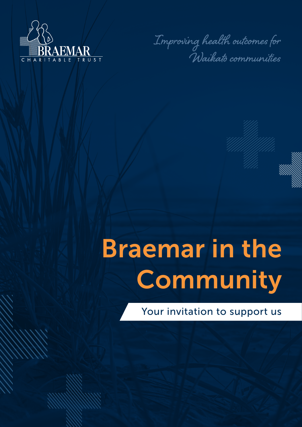

**Improving health outcomes for Waikato communities**

# Braemar in the **Community**

Your invitation to support us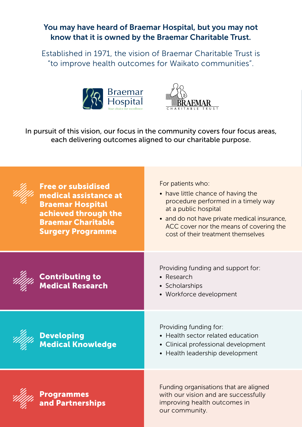### You may have heard of Braemar Hospital, but you may not know that it is owned by the Braemar Charitable Trust.

Established in 1971, the vision of Braemar Charitable Trust is "to improve health outcomes for Waikato communities".





In pursuit of this vision, our focus in the community covers four focus areas, each delivering outcomes aligned to our charitable purpose.

| <b>Free or subsidised</b><br>medical assistance at<br><b>Braemar Hospital</b><br>achieved through the<br><b>Braemar Charitable</b><br><b>Surgery Programme</b> | For patients who:<br>• have little chance of having the<br>procedure performed in a timely way<br>at a public hospital<br>• and do not have private medical insurance,<br>ACC cover nor the means of covering the<br>cost of their treatment themselves |
|----------------------------------------------------------------------------------------------------------------------------------------------------------------|---------------------------------------------------------------------------------------------------------------------------------------------------------------------------------------------------------------------------------------------------------|
| <b>Contributing to<br/>Medical Research</b>                                                                                                                    | Providing funding and support for:<br>$\bullet$ Research<br>• Scholarships<br>• Workforce development                                                                                                                                                   |
| <b>Developing</b><br>Medical Knowledge                                                                                                                         | Providing funding for:<br>• Health sector related education<br>• Clinical professional development<br>• Health leadership development                                                                                                                   |
| Programmes<br>and Partnerships                                                                                                                                 | Funding organisations that are aligned<br>with our vision and are successfully<br>improving health outcomes in<br>our community.                                                                                                                        |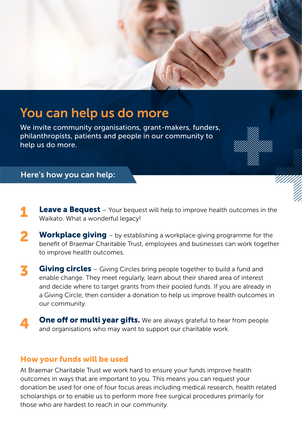

## You can help us do more

We invite community organisations, grant-makers, funders, philanthropists, patients and people in our community to help us do more.

### Here's how you can help:

- **Leave a Bequest** Your bequest will help to improve health outcomes in the Waikato. What a wonderful legacy! 1
- **Workplace giving** by establishing a workplace giving programme for the benefit of Braemar Charitable Trust, employees and businesses can work together to improve health outcomes. 2
- **Giving circles** Giving Circles bring people together to build a fund and enable change. They meet regularly, learn about their shared area of interest and decide where to target grants from their pooled funds. If you are already in a Giving Circle, then consider a donation to help us improve health outcomes in our community. 3
- **One off or multi year gifts.** We are always grateful to hear from people and organisations who may want to support our charitable work. 4

### How your funds will be used

At Braemar Charitable Trust we work hard to ensure your funds improve health outcomes in ways that are important to you. This means you can request your donation be used for one of four focus areas including medical research, health related scholarships or to enable us to perform more free surgical procedures primarily for those who are hardest to reach in our community.